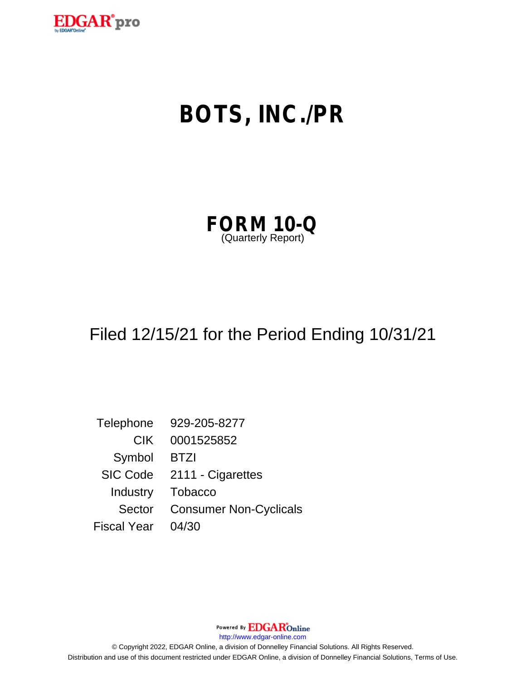

# **BOTS, INC./PR**

| <b>FORM 10-Q</b>   |  |  |
|--------------------|--|--|
| (Quarterly Report) |  |  |

# Filed 12/15/21 for the Period Ending 10/31/21

Telephone 929-205-8277 CIK 0001525852 Symbol BTZI SIC Code 2111 - Cigarettes Industry Tobacco Sector Consumer Non-Cyclicals Fiscal Year 04/30

Powered By **EDGAR**Online

http://www.edgar-online.com

© Copyright 2022, EDGAR Online, a division of Donnelley Financial Solutions. All Rights Reserved. Distribution and use of this document restricted under EDGAR Online, a division of Donnelley Financial Solutions, Terms of Use.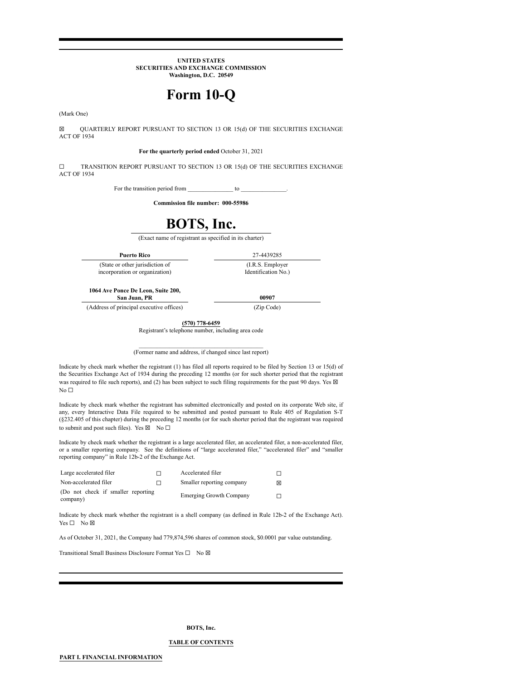**IINITED STATES SECURITIES AND EXCHANGE COMMISSION** Washington, D.C. 20549

## Form 10-Q

(Mark One)

QUARTERLY REPORT PURSUANT TO SECTION 13 OR 15(d) OF THE SECURITIES EXCHANGE  $\boxtimes$ ACT OF 1934

#### For the quarterly period ended October 31, 2021

TRANSITION REPORT PURSUANT TO SECTION 13 OR 15(d) OF THE SECURITIES EXCHANGE  $\Box$ **ACT OF 1934** 

> For the transition period from to

> > Commission file number: 000-55986

## BOTS, Inc.

(Exact name of registrant as specified in its charter)

**Puerto Rico** 

(State or other jurisdiction of incorporation or organization)

27-4439285 (I.R.S. Employer Identification No.)

1064 Ave Ponce De Leon, Suite 200, San Juan, PR

(Address of principal executive offices)

00907 (Zip Code)

 $(570)$  778-6459

Registrant's telephone number, including area code

(Former name and address, if changed since last report)

Indicate by check mark whether the registrant (1) has filed all reports required to be filed by Section 13 or 15(d) of the Securities Exchange Act of 1934 during the preceding 12 months (or for such shorter period that the registrant was required to file such reports), and (2) has been subject to such filing requirements for the past 90 days. Yes  $\boxtimes$  $N_0$  $\Box$ 

Indicate by check mark whether the registrant has submitted electronically and posted on its corporate Web site, if any, every Interactive Data File required to be submitted and posted pursuant to Rule 405 of Regulation S-T (§232.405 of this chapter) during the preceding 12 months (or for such shorter period that the registrant was required to submit and post such files). Yes  $\boxtimes$  No  $\square$ 

Indicate by check mark whether the registrant is a large accelerated filer, an accelerated filer, a non-accelerated filer, or a smaller reporting company. See the definitions of "large accelerated filer," "accelerated filer" and "smaller reporting company" in Rule 12b-2 of the Exchange Act.

| Large accelerated filer                        |   | Accelerated filer         |   |
|------------------------------------------------|---|---------------------------|---|
| Non-accelerated filer                          | п | Smaller reporting company | ⊠ |
| (Do not check if smaller reporting<br>commant) |   | Emerging Growth Company   |   |

Indicate by check mark whether the registrant is a shell company (as defined in Rule 12b-2 of the Exchange Act). Yes  $\square$  No  $\square$ 

As of October 31, 2021, the Company had 779,874,596 shares of common stock, \$0,0001 par value outstanding.

Transitional Small Business Disclosure Format Yes □ No ⊠

BOTS, Inc.

**TABLE OF CONTENTS** 

PART I. FINANCIAL INFORMATION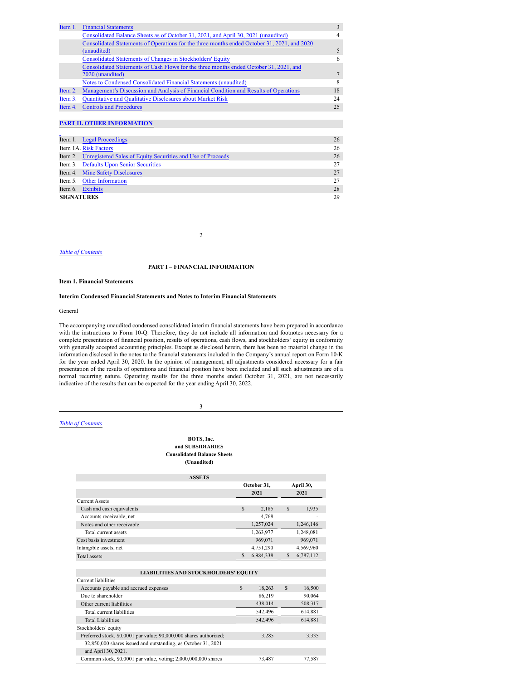| Item $1$ .        | <b>Financial Statements</b>                                                                 | 3  |
|-------------------|---------------------------------------------------------------------------------------------|----|
|                   | Consolidated Balance Sheets as of October 31, 2021, and April 30, 2021 (unaudited)          | 4  |
|                   | Consolidated Statements of Operations for the three months ended October 31, 2021, and 2020 |    |
|                   | (unaudited)                                                                                 | 5  |
|                   | Consolidated Statements of Changes in Stockholders' Equity                                  | 6  |
|                   | Consolidated Statements of Cash Flows for the three months ended October 31, 2021, and      |    |
|                   | 2020 (unaudited)                                                                            | 7  |
|                   | Notes to Condensed Consolidated Financial Statements (unaudited)                            | 8  |
| Item 2.           | Management's Discussion and Analysis of Financial Condition and Results of Operations       | 18 |
| Item $3.$         | <b>Quantitative and Qualitative Disclosures about Market Risk</b>                           | 24 |
| Item 4.           | <b>Controls and Procedures</b>                                                              | 25 |
|                   |                                                                                             |    |
|                   | <b>PART II. OTHER INFORMATION</b>                                                           |    |
|                   |                                                                                             |    |
|                   | Item 1. Legal Proceedings                                                                   | 26 |
|                   | Item 1A. Risk Factors                                                                       | 26 |
| Item 2.           | Unregistered Sales of Equity Securities and Use of Proceeds                                 | 26 |
|                   | Item 3. Defaults Upon Senior Securities                                                     | 27 |
|                   | Item 4. Mine Safety Disclosures                                                             | 27 |
|                   | Item 5. Other Information                                                                   | 27 |
|                   | Item 6. Exhibits                                                                            | 28 |
| <b>SIGNATURES</b> |                                                                                             | 29 |

2

#### <span id="page-2-0"></span>*Table of [Contents](#page-1-0)*

#### **PART I – FINANCIAL INFORMATION**

#### **Item 1. Financial Statements**

#### **Interim Condensed Financial Statements and Notes to Interim Financial Statements**

#### General

The accompanying unaudited condensed consolidated interim financial statements have been prepared in accordance with the instructions to Form 10-Q. Therefore, they do not include all information and footnotes necessary for a complete presentation of financial position, results of operations, cash flows, and stockholders' equity in conformity with generally accepted accounting principles. Except as disclosed herein, there has been no material change in the information disclosed in the notes to the financial statements included in the Company's annual report on Form 10-K for the year ended April 30, 2020. In the opinion of management, all adjustments considered necessary for a fair presentation of the results of operations and financial position have been included and all such adjustments are of a normal recurring nature. Operating results for the three months ended October 31, 2021, are not necessarily indicative of the results that can be expected for the year ending April 30, 2022.

3

#### <span id="page-2-1"></span>*Table of [Contents](#page-1-0)*

#### **BOTS, Inc. and SUBSIDIARIES Consolidated Balance Sheets (Unaudited)**

| <b>ASSETS</b>              |                 |    |           |
|----------------------------|-----------------|----|-----------|
|                            | October 31,     |    | April 30, |
|                            | 2021            |    | 2021      |
| <b>Current Assets</b>      |                 |    |           |
| Cash and cash equivalents  | \$<br>2,185     | S  | 1,935     |
| Accounts receivable, net   | 4,768           |    | ۰         |
| Notes and other receivable | 1,257,024       |    | 1,246,146 |
| Total current assets       | 1,263,977       |    | 1,248,081 |
| Cost basis investment      | 969,071         |    | 969,071   |
| Intangible assets, net     | 4,751,290       |    | 4,569,960 |
| Total assets               | \$<br>6,984,338 | \$ | 6,787,112 |

#### **LIABILITIES AND STOCKHOLDERS' EQUITY** Current liabilities Accounts payable and accrued expenses Due to shareholder Other current liabilities Total current liabilities Total Liabilities Stockholders' equity Preferred stock, \$0.0001 par value; 90,000,000 shares authorized; 32,850,000 shares issued and outstanding, as October 31, 2021 and April 30, 2021. Common stock, \$0.0001 par value, voting; 2,000,000,000 shares \$ 18,263 \$ 16,500 86,219 90,064 438,014 508,317 542,496 614,881 542,496 614,881 3,285 3,335 73,487 77,587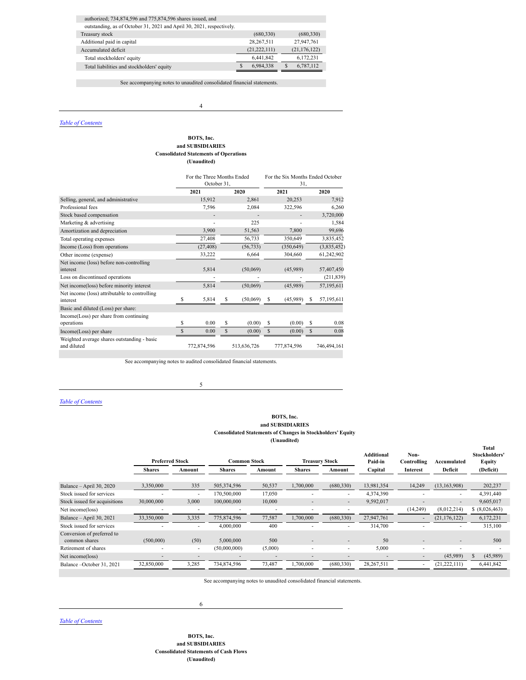| authorized; 734,874,596 and 775,874,596 shares issued, and            |                |                |
|-----------------------------------------------------------------------|----------------|----------------|
| outstanding, as of October 31, 2021 and April 30, 2021, respectively. |                |                |
| Treasury stock                                                        | (680, 330)     | (680, 330)     |
| Additional paid in capital                                            | 28,267,511     | 27,947,761     |
| Accumulated deficit                                                   | (21, 222, 111) | (21, 176, 122) |
| Total stockholders' equity                                            | 6.441.842      | 6.172.231      |
| Total liabilities and stockholders' equity                            | 6.984.338      | 6.787.112      |
|                                                                       |                |                |

See accompanying notes to unaudited consolidated financial statements.

4

## <span id="page-3-0"></span>*Table of [Contents](#page-1-0)*

#### **BOTS, Inc. and SUBSIDIARIES Consolidated Statements of Operations (Unaudited)**

|                                                            |    | For the Three Months Ended<br>October 31. |    | For the Six Months Ended October<br>31, |    |             |    |             |
|------------------------------------------------------------|----|-------------------------------------------|----|-----------------------------------------|----|-------------|----|-------------|
|                                                            |    | 2021                                      |    | 2020                                    |    | 2021        |    | 2020        |
| Selling, general, and administrative                       |    | 15,912                                    |    | 2,861                                   |    | 20,253      |    | 7,912       |
| Professional fees                                          |    | 7,596                                     |    | 2,084                                   |    | 322,596     |    | 6,260       |
| Stock based compensation                                   |    |                                           |    |                                         |    |             |    | 3,720,000   |
| Marketing & advertising                                    |    | ٠                                         |    | 225                                     |    |             |    | 1,584       |
| Amortization and depreciation                              |    | 3,900                                     |    | 51,563                                  |    | 7,800       |    | 99,696      |
| Total operating expenses                                   |    | 27,408                                    |    | 56,733                                  |    | 350,649     |    | 3,835,452   |
| Income (Loss) from operations                              |    | (27, 408)                                 |    | (56, 733)                               |    | (350, 649)  |    | (3,835,452) |
| Other income (expense)                                     |    | 33,222                                    |    | 6,664                                   |    | 304,660     |    | 61,242,902  |
| Net income (loss) before non-controlling<br>interest       |    | 5,814                                     |    | (50,069)                                |    | (45,989)    |    | 57,407,450  |
| Loss on discontinued operations                            |    |                                           |    |                                         |    |             |    | (211, 839)  |
| Net income(loss) before minority interest                  |    | 5,814                                     |    | (50,069)                                |    | (45,989)    |    | 57,195,611  |
| Net income (loss) attributable to controlling<br>interest  | S  | 5,814                                     | S  | (50,069)                                | S  | (45,989)    | £. | 57,195,611  |
| Basic and diluted (Loss) per share:                        |    |                                           |    |                                         |    |             |    |             |
| Income(Loss) per share from continuing<br>operations       | \$ | 0.00                                      | S  | (0.00)                                  | \$ | (0.00)      | S  | 0.08        |
| Income(Loss) per share                                     | \$ | 0.00                                      | \$ | (0.00)                                  | \$ | (0.00)      | S  | 0.08        |
| Weighted average shares outstanding - basic<br>and diluted |    | 772,874,596                               |    | 513,636,726                             |    | 777,874,596 |    | 746,494,161 |

See accompanying notes to audited consolidated financial statements.

5

## <span id="page-3-1"></span>*Table of [Contents](#page-1-0)*

## **BOTS, Inc. and SUBSIDIARIES Consolidated Statements of Changes in Stockholders' Equity**

**(Unaudited)**

|                                             | <b>Preferred Stock</b> |                          | <b>Common Stock</b> |         | <b>Treasury Stock</b>    |                          | <b>Additional</b><br>Paid-in | Non-<br>Controlling      | Accumulated    | <b>Total</b><br>Stockholders'<br><b>Equity</b> |
|---------------------------------------------|------------------------|--------------------------|---------------------|---------|--------------------------|--------------------------|------------------------------|--------------------------|----------------|------------------------------------------------|
|                                             | <b>Shares</b>          | Amount                   | <b>Shares</b>       | Amount  | <b>Shares</b>            | Amount                   | Capital                      | Interest                 | Deficit        | (Deficit)                                      |
| Balance - April 30, 2020                    | 3,350,000              | 335                      | 505,374,596         | 50,537  | 1,700,000                | (680, 330)               | 13,981,354                   | 14,249                   | (13, 163, 908) | 202,237                                        |
| Stock issued for services                   |                        | $\overline{\phantom{a}}$ | 170,500,000         | 17,050  |                          |                          | 4,374,390                    |                          |                | 4,391,440                                      |
| Stock issued for acquisitions               | 30,000,000             | 3,000                    | 100,000,000         | 10,000  | $\overline{\phantom{a}}$ | $\sim$                   | 9,592,017                    | $\overline{\phantom{a}}$ | -              | 9,605,017                                      |
| Net income(loss)                            |                        |                          |                     |         |                          |                          | $\overline{\phantom{a}}$     | (14, 249)                | (8,012,214)    | \$ (8,026,463)                                 |
| Balance – April 30, 2021                    | 33,350,000             | 3,335                    | 775,874,596         | 77,587  | 1,700,000                | (680, 330)               | 27,947,761                   | $\overline{\phantom{a}}$ | (21, 176, 122) | 6,172,231                                      |
| Stock issued for services                   |                        | $\overline{\phantom{a}}$ | 4,000,000           | 400     |                          | $\overline{\phantom{a}}$ | 314,700                      |                          |                | 315,100                                        |
| Conversion of preferred to<br>common shares | (500,000)              | (50)                     | 5,000,000           | 500     |                          |                          | 50                           | $\overline{a}$           |                | 500                                            |
| Retirement of shares                        | ۰                      | $\sim$                   | (50,000,000)        | (5,000) | ۰                        | $\overline{\phantom{a}}$ | 5,000                        | $\overline{\phantom{a}}$ | ۰              | ۰                                              |
| Net income(loss)                            |                        |                          |                     |         |                          |                          |                              | $\overline{\phantom{a}}$ | (45,989)       | (45,989)                                       |
| Balance-October 31, 2021                    | 32,850,000             | 3,285                    | 734,874,596         | 73,487  | 1.700.000                | (680, 330)               | 28,267,511                   | $\overline{\phantom{a}}$ | (21, 222, 111) | 6,441,842                                      |

See accompanying notes to unaudited consolidated financial statements.

## <span id="page-3-2"></span>*Table of [Contents](#page-1-0)*

**BOTS, Inc. and SUBSIDIARIES Consolidated Statements of Cash Flows (Unaudited)**

6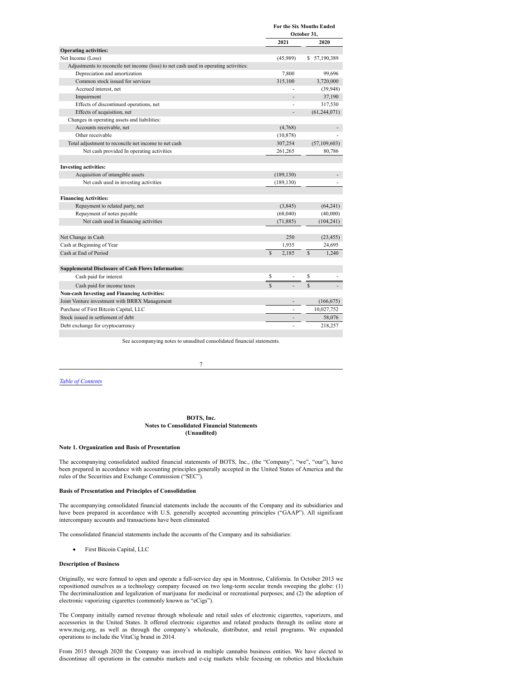|                                                                                      | <b>For the Six Months Ended</b><br>October 31. |                      |  |
|--------------------------------------------------------------------------------------|------------------------------------------------|----------------------|--|
|                                                                                      | 2021                                           | 2020                 |  |
| <b>Operating activities:</b>                                                         |                                                |                      |  |
| Net Income (Loss)                                                                    | (45,989)                                       | \$57,190,389         |  |
| Adjustments to reconcile net income (loss) to net cash used in operating activities: |                                                |                      |  |
| Depreciation and amortization                                                        | 7,800                                          | 99,696               |  |
| Common stock issued for services                                                     | 315,100                                        | 3,720,000            |  |
| Accrued interest, net                                                                |                                                | (39, 948)            |  |
| Impairment                                                                           |                                                | 37,190               |  |
| Effects of discontinued operations, net                                              |                                                | 317,530              |  |
| Effects of acquisition, net                                                          | $\overline{a}$                                 | (61, 244, 071)       |  |
| Changes in operating assets and liabilities:                                         |                                                |                      |  |
| Accounts receivable, net                                                             | (4,768)                                        |                      |  |
| Other receivable                                                                     | (10, 878)                                      |                      |  |
| Total adjustment to reconcile net income to net cash                                 | 307,254                                        | (57, 109, 603)       |  |
| Net cash provided In operating activities                                            | 261,265                                        | 80,786               |  |
|                                                                                      |                                                |                      |  |
| <b>Investing activities:</b>                                                         |                                                |                      |  |
| Acquisition of intangible assets                                                     | (189, 130)                                     |                      |  |
| Net cash used in investing activities                                                | (189, 130)                                     |                      |  |
|                                                                                      |                                                |                      |  |
| <b>Financing Activities:</b>                                                         |                                                |                      |  |
| Repayment to related party, net                                                      | (3,845)                                        | (64, 241)            |  |
| Repayment of notes payable                                                           | (68,040)                                       | (40,000)             |  |
| Net cash used in financing activities                                                | (71, 885)                                      | (104, 241)           |  |
|                                                                                      |                                                |                      |  |
| Net Change in Cash                                                                   | 250                                            | (23, 455)            |  |
| Cash at Beginning of Year                                                            | 1,935                                          | 24,695               |  |
| Cash at End of Period                                                                | $\mathbf{s}$<br>2,185                          | $\mathbf S$<br>1,240 |  |
|                                                                                      |                                                |                      |  |
| <b>Supplemental Disclosure of Cash Flows Information:</b>                            |                                                |                      |  |
| Cash paid for interest                                                               | \$                                             | \$                   |  |
| Cash paid for income taxes                                                           | $\hat{S}$                                      | \$                   |  |
| Non-cash Investing and Financing Activities:                                         |                                                |                      |  |
| Joint Venture investment with BRRX Management                                        |                                                | (166, 675)           |  |
| Purchase of First Bitcoin Capital, LLC                                               |                                                | 10,027,752           |  |
| Stock issued in settlement of debt                                                   |                                                | 58,076               |  |
| Debt exchange for cryptocurrency                                                     |                                                | 218,257              |  |
|                                                                                      |                                                |                      |  |

See accompanying notes to unaudited consolidated financial statements.

7

#### <span id="page-4-0"></span>*Table of [Contents](#page-1-0)*

**BOTS, Inc. Notes to Consolidated Financial Statements (Unaudited)**

#### **Note 1. Organization and Basis of Presentation**

The accompanying consolidated audited financial statements of BOTS, Inc., (the "Company", "we", "our"), have been prepared in accordance with accounting principles generally accepted in the United States of America and the rules of the Securities and Exchange Commission ("SEC").

#### **Basis of Presentation and Principles of Consolidation**

The accompanying consolidated financial statements include the accounts of the Company and its subsidiaries and have been prepared in accordance with U.S. generally accepted accounting principles ("GAAP"). All significant intercompany accounts and transactions have been eliminated.

The consolidated financial statements include the accounts of the Company and its subsidiaries:

· First Bitcoin Capital, LLC

#### **Description of Business**

Originally, we were formed to open and operate a full-service day spa in Montrose, California. In October 2013 we repositioned ourselves as a technology company focused on two long-term secular trends sweeping the globe: (1) The decriminalization and legalization of marijuana for medicinal or recreational purposes; and (2) the adoption of electronic vaporizing cigarettes (commonly known as "eCigs").

The Company initially earned revenue through wholesale and retail sales of electronic cigarettes, vaporizers, and accessories in the United States. It offered electronic cigarettes and related products through its online store at www.mcig.org, as well as through the company's wholesale, distributor, and retail programs. We expanded operations to include the VitaCig brand in 2014.

From 2015 through 2020 the Company was involved in multiple cannabis business entities. We have elected to discontinue all operations in the cannabis markets and e-cig markets while focusing on robotics and blockchain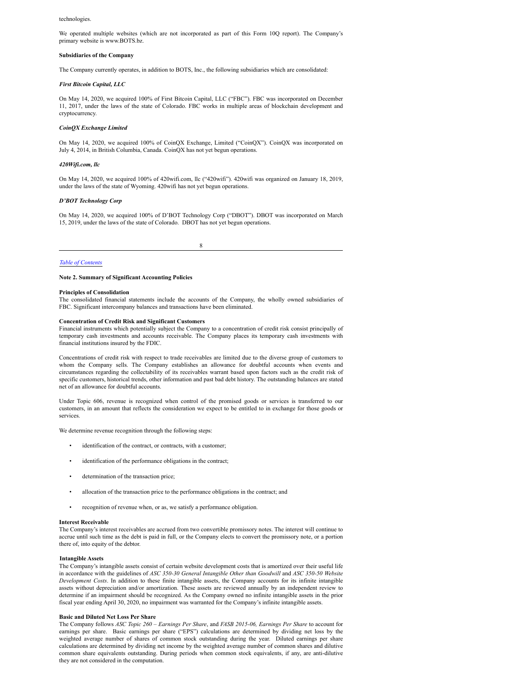technologies.

We operated multiple websites (which are not incorporated as part of this Form 10Q report). The Company's primary website is www.BOTS.bz.

#### **Subsidiaries of the Company**

The Company currently operates, in addition to BOTS, Inc., the following subsidiaries which are consolidated:

#### *First Bitcoin Capital, LLC*

On May 14, 2020, we acquired 100% of First Bitcoin Capital, LLC ("FBC"). FBC was incorporated on December 11, 2017, under the laws of the state of Colorado. FBC works in multiple areas of blockchain development and cryptocurrency.

#### *CoinQX Exchange Limited*

On May 14, 2020, we acquired 100% of CoinQX Exchange, Limited ("CoinQX"). CoinQX was incorporated on July 4, 2014, in British Columbia, Canada. CoinQX has not yet begun operations.

#### *420Wifi.com, llc*

On May 14, 2020, we acquired 100% of 420wifi.com, llc ("420wifi"). 420wifi was organized on January 18, 2019, under the laws of the state of Wyoming. 420wifi has not yet begun operations.

#### *D'BOT Technology Corp*

On May 14, 2020, we acquired 100% of D'BOT Technology Corp ("DBOT"). DBOT was incorporated on March 15, 2019, under the laws of the state of Colorado. DBOT has not yet begun operations.

8

#### *Table of [Contents](#page-1-0)*

#### **Note 2. Summary of Significant Accounting Policies**

#### **Principles of Consolidation**

The consolidated financial statements include the accounts of the Company, the wholly owned subsidiaries of FBC. Significant intercompany balances and transactions have been eliminated.

#### **Concentration of Credit Risk and Significant Customers**

Financial instruments which potentially subject the Company to a concentration of credit risk consist principally of temporary cash investments and accounts receivable. The Company places its temporary cash investments with financial institutions insured by the FDIC.

Concentrations of credit risk with respect to trade receivables are limited due to the diverse group of customers to whom the Company sells. The Company establishes an allowance for doubtful accounts when events and circumstances regarding the collectability of its receivables warrant based upon factors such as the credit risk of specific customers, historical trends, other information and past bad debt history. The outstanding balances are stated net of an allowance for doubtful accounts.

Under Topic 606, revenue is recognized when control of the promised goods or services is transferred to our customers, in an amount that reflects the consideration we expect to be entitled to in exchange for those goods or services.

We determine revenue recognition through the following steps:

- identification of the contract, or contracts, with a customer;
- identification of the performance obligations in the contract:
- determination of the transaction price:
- allocation of the transaction price to the performance obligations in the contract; and
- recognition of revenue when, or as, we satisfy a performance obligation.

#### **Interest Receivable**

The Company's interest receivables are accrued from two convertible promissory notes. The interest will continue to accrue until such time as the debt is paid in full, or the Company elects to convert the promissory note, or a portion there of, into equity of the debtor.

#### **Intangible Assets**

The Company's intangible assets consist of certain website development costs that is amortized over their useful life in accordance with the guidelines of *ASC 350-30 General Intangible Other than Goodwill* and *ASC 350-50 Website Development Costs*. In addition to these finite intangible assets, the Company accounts for its infinite intangible assets without depreciation and/or amortization. These assets are reviewed annually by an independent review to determine if an impairment should be recognized. As the Company owned no infinite intangible assets in the prior fiscal year ending April 30, 2020, no impairment was warranted for the Company's infinite intangible assets.

#### **Basic and Diluted Net Loss Per Share**

The Company follows *ASC Topic 260 – Earnings Per Share*, and *FASB 2015-06, Earnings Per Share* to account for earnings per share. Basic earnings per share ("EPS") calculations are determined by dividing net loss by the weighted average number of shares of common stock outstanding during the year. Diluted earnings per share calculations are determined by dividing net income by the weighted average number of common shares and dilutive common share equivalents outstanding. During periods when common stock equivalents, if any, are anti-dilutive they are not considered in the computation.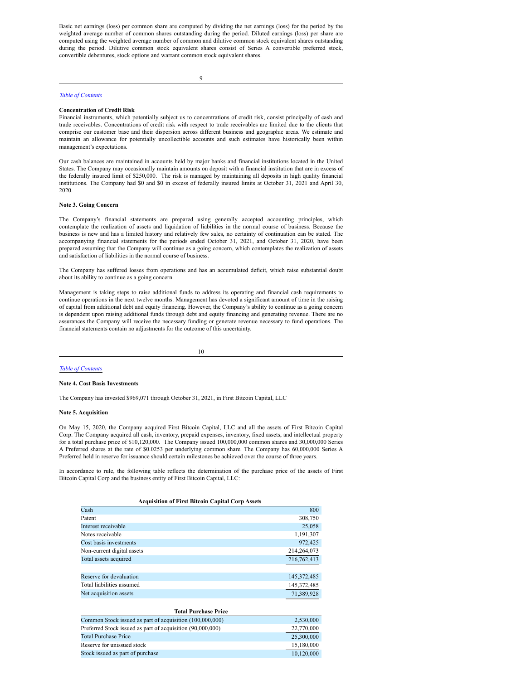Basic net earnings (loss) per common share are computed by dividing the net earnings (loss) for the period by the weighted average number of common shares outstanding during the period. Diluted earnings (loss) per share are computed using the weighted average number of common and dilutive common stock equivalent shares outstanding during the period. Dilutive common stock equivalent shares consist of Series A convertible preferred stock, convertible debentures, stock options and warrant common stock equivalent shares.

9

#### *Table of [Contents](#page-1-0)*

#### **Concentration of Credit Risk**

Financial instruments, which potentially subject us to concentrations of credit risk, consist principally of cash and trade receivables. Concentrations of credit risk with respect to trade receivables are limited due to the clients that comprise our customer base and their dispersion across different business and geographic areas. We estimate and maintain an allowance for potentially uncollectible accounts and such estimates have historically been within management's expectations.

Our cash balances are maintained in accounts held by major banks and financial institutions located in the United States. The Company may occasionally maintain amounts on deposit with a financial institution that are in excess of the federally insured limit of \$250,000. The risk is managed by maintaining all deposits in high quality financial institutions. The Company had \$0 and \$0 in excess of federally insured limits at October 31, 2021 and April 30, 2020.

#### **Note 3. Going Concern**

The Company's financial statements are prepared using generally accepted accounting principles, which contemplate the realization of assets and liquidation of liabilities in the normal course of business. Because the business is new and has a limited history and relatively few sales, no certainty of continuation can be stated. The accompanying financial statements for the periods ended October 31, 2021, and October 31, 2020, have been prepared assuming that the Company will continue as a going concern, which contemplates the realization of assets and satisfaction of liabilities in the normal course of business.

The Company has suffered losses from operations and has an accumulated deficit, which raise substantial doubt about its ability to continue as a going concern.

Management is taking steps to raise additional funds to address its operating and financial cash requirements to continue operations in the next twelve months. Management has devoted a significant amount of time in the raising of capital from additional debt and equity financing. However, the Company's ability to continue as a going concern is dependent upon raising additional funds through debt and equity financing and generating revenue. There are no assurances the Company will receive the necessary funding or generate revenue necessary to fund operations. The financial statements contain no adjustments for the outcome of this uncertainty.

10

#### *Table of [Contents](#page-1-0)*

#### **Note 4. Cost Basis Investments**

The Company has invested \$969,071 through October 31, 2021, in First Bitcoin Capital, LLC

#### **Note 5. Acquisition**

On May 15, 2020, the Company acquired First Bitcoin Capital, LLC and all the assets of First Bitcoin Capital Corp. The Company acquired all cash, inventory, prepaid expenses, inventory, fixed assets, and intellectual property for a total purchase price of \$10,120,000. The Company issued 100,000,000 common shares and 30,000,000 Series A Preferred shares at the rate of \$0.0253 per underlying common share. The Company has 60,000,000 Series A Preferred held in reserve for issuance should certain milestones be achieved over the course of three years.

In accordance to rule, the following table reflects the determination of the purchase price of the assets of First Bitcoin Capital Corp and the business entity of First Bitcoin Capital, LLC:

| <b>Acquisition of First Bitcoin Capital Corp Assets</b>    |               |  |  |  |  |
|------------------------------------------------------------|---------------|--|--|--|--|
| Cash                                                       | 800           |  |  |  |  |
| Patent                                                     | 308,750       |  |  |  |  |
| Interest receivable                                        | 25,058        |  |  |  |  |
| Notes receivable                                           | 1,191,307     |  |  |  |  |
| Cost basis investments                                     | 972,425       |  |  |  |  |
| Non-current digital assets                                 | 214,264,073   |  |  |  |  |
| Total assets acquired                                      | 216,762,413   |  |  |  |  |
|                                                            |               |  |  |  |  |
| Reserve for devaluation                                    | 145, 372, 485 |  |  |  |  |
| Total liabilities assumed                                  | 145, 372, 485 |  |  |  |  |
| Net acquisition assets                                     | 71,389,928    |  |  |  |  |
|                                                            |               |  |  |  |  |
| <b>Total Purchase Price</b>                                |               |  |  |  |  |
| Common Stock issued as part of acquisition (100,000,000)   | 2,530,000     |  |  |  |  |
| Preferred Stock issued as part of acquisition (90,000,000) | 22,770,000    |  |  |  |  |
| <b>Total Purchase Price</b>                                | 25,300,000    |  |  |  |  |
| Reserve for unissued stock                                 | 15,180,000    |  |  |  |  |
| Stock issued as part of purchase                           | 10.120.000    |  |  |  |  |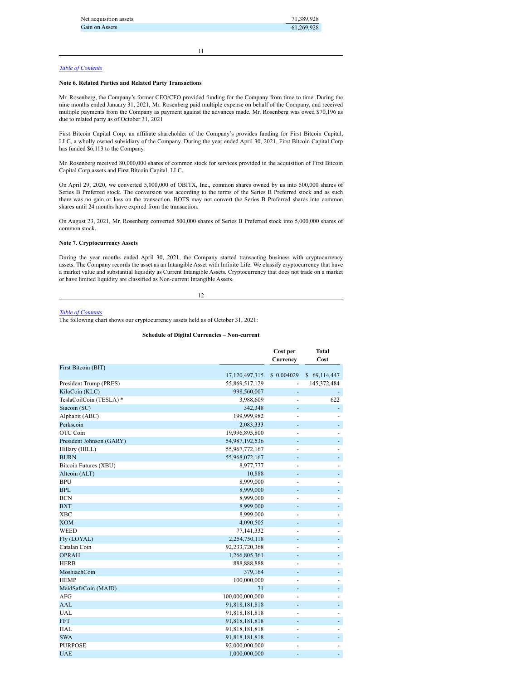| Net acquisition assets | 71.389.928 |
|------------------------|------------|
| Gain on Assets         | 61.269.928 |

11

#### *Table of [Contents](#page-1-0)*

#### **Note 6. Related Parties and Related Party Transactions**

Mr. Rosenberg, the Company's former CEO/CFO provided funding for the Company from time to time. During the nine months ended January 31, 2021, Mr. Rosenberg paid multiple expense on behalf of the Company, and received multiple payments from the Company as payment against the advances made. Mr. Rosenberg was owed \$70,196 as due to related party as of October 31, 2021

First Bitcoin Capital Corp, an affiliate shareholder of the Company's provides funding for First Bitcoin Capital, LLC, a wholly owned subsidiary of the Company. During the year ended April 30, 2021, First Bitcoin Capital Corp has funded \$6,113 to the Company.

Mr. Rosenberg received 80,000,000 shares of common stock for services provided in the acquisition of First Bitcoin Capital Corp assets and First Bitcoin Capital, LLC.

On April 29, 2020, we converted 5,000,000 of OBITX, Inc., common shares owned by us into 500,000 shares of Series B Preferred stock. The conversion was according to the terms of the Series B Preferred stock and as such there was no gain or loss on the transaction. BOTS may not convert the Series B Preferred shares into common shares until 24 months have expired from the transaction.

On August 23, 2021, Mr. Rosenberg converted 500,000 shares of Series B Preferred stock into 5,000,000 shares of common stock.

#### **Note 7. Cryptocurrency Assets**

During the year months ended April 30, 2021, the Company started transacting business with cryptocurrency assets. The Company records the asset as an Intangible Asset with Infinite Life. We classify cryptocurrency that have a market value and substantial liquidity as Current Intangible Assets. Cryptocurrency that does not trade on a market or have limited liquidity are classified as Non-current Intangible Assets.

12

#### *Table of [Contents](#page-1-0)*

The following chart shows our cryptocurrency assets held as of October 31, 2021:

#### **Schedule of Digital Currencies – Non-current**

|                          |                 | Cost per<br>Currency | <b>Total</b><br>Cost |
|--------------------------|-----------------|----------------------|----------------------|
| First Bitcoin (BIT)      |                 |                      |                      |
|                          | 17,120,497,315  | \$ 0.004029          | \$69,114,447         |
| President Trump (PRES)   | 55,869,517,129  | ÷                    | 145,372,484          |
| KiloCoin (KLC)           | 998,560,007     | ٠                    |                      |
| TeslaCoilCoin (TESLA) *  | 3,988,609       |                      | 622                  |
| Siacoin (SC)             | 342,348         |                      | ٠                    |
| Alphabit (ABC)           | 199,999,982     |                      |                      |
| Perkscoin                | 2,083,333       |                      | ٠                    |
| OTC Coin                 | 19,996,895,800  |                      |                      |
| President Johnson (GARY) | 54,987,192,536  |                      | ٠                    |
| Hillary (HILL)           | 55,967,772,167  |                      |                      |
| <b>BURN</b>              | 55,968,072,167  | ٠                    | ۰                    |
| Bitcoin Futures (XBU)    | 8,977,777       |                      |                      |
| Altcoin (ALT)            | 10,888          | ٠                    | ۰                    |
| <b>BPU</b>               | 8,999,000       | L,                   |                      |
| <b>BPL</b>               | 8,999,000       | ٠                    | ٠                    |
| <b>BCN</b>               | 8,999,000       | ä,                   |                      |
| <b>BXT</b>               | 8,999,000       | ۰                    | ٠                    |
| <b>XBC</b>               | 8,999,000       | ä,                   |                      |
| <b>XOM</b>               | 4,090,505       | ÷,                   | ٠                    |
| <b>WEED</b>              | 77,141,332      | ä,                   | $\frac{1}{2}$        |
| Fly (LOYAL)              | 2,254,750,118   | ٠                    | ٠                    |
| Catalan Coin             | 92,233,720,368  | ÷                    | $\frac{1}{2}$        |
| <b>OPRAH</b>             | 1,266,805,361   | ۰                    | ۰                    |
| <b>HERB</b>              | 888, 888, 888   | -                    | $\frac{1}{2}$        |
| MoshiachCoin             | 379,164         | ٠                    | Ξ                    |
| <b>HEMP</b>              | 100,000,000     | $\frac{1}{2}$        | $\frac{1}{2}$        |
| MaidSafeCoin (MAID)      | 71              | -                    | ۰                    |
| <b>AFG</b>               | 100,000,000,000 | -                    | ÷,                   |
| <b>AAL</b>               | 91,818,181,818  | -                    | ۰                    |
| <b>UAL</b>               | 91,818,181,818  | ÷                    |                      |
| <b>FFT</b>               | 91,818,181,818  | ٠                    | ۰                    |
| <b>HAL</b>               | 91,818,181,818  | ÷                    |                      |
| <b>SWA</b>               | 91,818,181,818  | -                    | ۳                    |
| <b>PURPOSE</b>           | 92,000,000,000  | ÷                    |                      |
| <b>UAE</b>               | 1,000,000,000   | ÷                    |                      |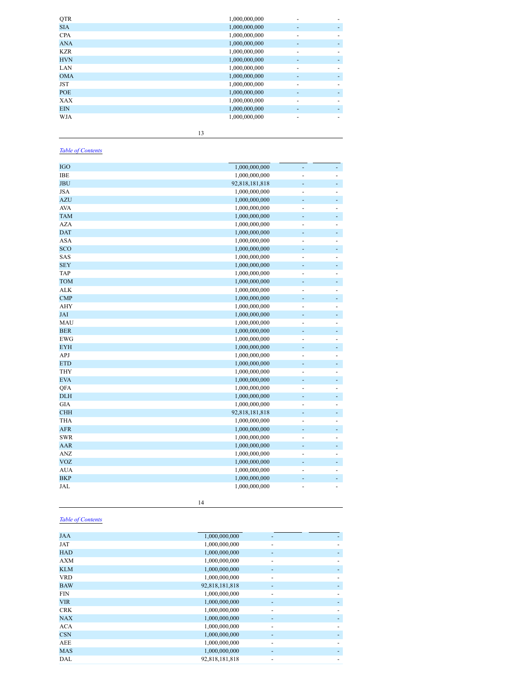| QTR        | 1,000,000,000 | ۰ |   |
|------------|---------------|---|---|
| <b>SIA</b> | 1,000,000,000 |   | ٠ |
| <b>CPA</b> | 1,000,000,000 | ٠ |   |
| <b>ANA</b> | 1,000,000,000 |   | ٠ |
| <b>KZR</b> | 1,000,000,000 | ٠ |   |
| <b>HVN</b> | 1,000,000,000 |   |   |
| LAN        | 1,000,000,000 | ٠ |   |
| <b>OMA</b> | 1,000,000,000 |   |   |
| JST        | 1,000,000,000 | ٠ |   |
| POE        | 1,000,000,000 |   |   |
| <b>XAX</b> | 1,000,000,000 | ٠ |   |
| <b>EIN</b> | 1,000,000,000 | ٠ |   |
| <b>WJA</b> | 1,000,000,000 | ۰ |   |
|            |               |   |   |
|            | 13            |   |   |

## *Table of [Contents](#page-1-0)*

| <b>IGO</b> | 1,000,000,000  | Ξ                            | $\overline{\phantom{m}}$ |
|------------|----------------|------------------------------|--------------------------|
| <b>IBE</b> | 1,000,000,000  | ۰                            |                          |
| <b>JBU</b> | 92,818,181,818 | ۳                            | ä,                       |
| <b>JSA</b> | 1,000,000,000  | ÷,                           | ÷.                       |
| <b>AZU</b> | 1,000,000,000  | ٠                            | ٠                        |
| <b>AVA</b> | 1,000,000,000  | ÷,                           | ÷,                       |
| <b>TAM</b> | 1,000,000,000  | ۰                            | ٠                        |
| <b>AZA</b> | 1,000,000,000  | ٠                            | ÷.                       |
| <b>DAT</b> | 1,000,000,000  | Ξ                            | ٠                        |
| <b>ASA</b> | 1,000,000,000  | ÷                            | ÷,                       |
| SCO        | 1,000,000,000  | ٠                            | ٠                        |
| SAS        | 1,000,000,000  | ÷,                           |                          |
| <b>SEY</b> | 1,000,000,000  | ÷                            | ٠                        |
| <b>TAP</b> | 1,000,000,000  | -                            |                          |
| <b>TOM</b> | 1,000,000,000  | ٠                            | ٠                        |
| <b>ALK</b> | 1,000,000,000  | ÷,                           | ÷,                       |
| <b>CMP</b> | 1,000,000,000  | Ξ                            | ä,                       |
| <b>AHY</b> | 1,000,000,000  | -                            | ÷,                       |
| JAI        | 1,000,000,000  | ÷                            | ٠                        |
| MAU        | 1,000,000,000  | L,                           |                          |
| <b>BER</b> | 1,000,000,000  | $\overline{\phantom{a}}$     | ä,                       |
| <b>EWG</b> | 1,000,000,000  | -                            |                          |
| <b>EYH</b> | 1,000,000,000  | Ξ                            | ÷,                       |
| APJ        | 1,000,000,000  | $\overline{\phantom{a}}$     | ٠                        |
| <b>ETD</b> | 1,000,000,000  | ٠                            |                          |
| THY        | 1,000,000,000  | ÷,                           |                          |
| <b>EVA</b> | 1,000,000,000  | ÷,                           | ٠                        |
| QFA        | 1,000,000,000  | ٠                            | ٠                        |
| <b>DLH</b> | 1,000,000,000  | ÷                            | ٠                        |
| <b>GIA</b> | 1,000,000,000  | $\qquad \qquad \blacksquare$ | ٠                        |
| <b>CHH</b> | 92,818,181,818 | Ξ                            | ÷,                       |
| <b>THA</b> | 1,000,000,000  | $\overline{\phantom{a}}$     | ÷,                       |
| <b>AFR</b> | 1,000,000,000  | ٠                            | ٠                        |
| <b>SWR</b> | 1,000,000,000  | ÷,                           |                          |
| <b>AAR</b> | 1,000,000,000  | Ξ                            | ÷,                       |
| <b>ANZ</b> | 1,000,000,000  | ٠                            |                          |
| <b>VOZ</b> | 1,000,000,000  | Ξ                            | ٠                        |
| <b>AUA</b> | 1,000,000,000  | ÷                            |                          |
| <b>BKP</b> | 1,000,000,000  | ÷                            | ٠                        |
| JAL        | 1,000,000,000  | L,                           |                          |
|            |                |                              |                          |

## 14

## *Table of [Contents](#page-1-0)*

| <b>JAA</b> | 1,000,000,000  |                          |  |
|------------|----------------|--------------------------|--|
| JAT        | 1,000,000,000  | $\overline{\phantom{a}}$ |  |
| <b>HAD</b> | 1,000,000,000  | ٠                        |  |
| <b>AXM</b> | 1,000,000,000  | $\overline{\phantom{a}}$ |  |
| <b>KLM</b> | 1,000,000,000  | ٠                        |  |
| <b>VRD</b> | 1,000,000,000  | $\overline{\phantom{a}}$ |  |
| <b>BAW</b> | 92,818,181,818 | ٠                        |  |
| <b>FIN</b> | 1,000,000,000  | $\overline{\phantom{a}}$ |  |
| <b>VIR</b> | 1,000,000,000  | ٠                        |  |
| <b>CRK</b> | 1,000,000,000  | $\overline{\phantom{a}}$ |  |
| <b>NAX</b> | 1,000,000,000  |                          |  |
| <b>ACA</b> | 1,000,000,000  | $\overline{\phantom{a}}$ |  |
| <b>CSN</b> | 1,000,000,000  | ٠                        |  |
| AEE        | 1,000,000,000  | $\overline{\phantom{a}}$ |  |
| <b>MAS</b> | 1,000,000,000  | -                        |  |
| DAL        | 92,818,181,818 | ٠                        |  |
|            |                |                          |  |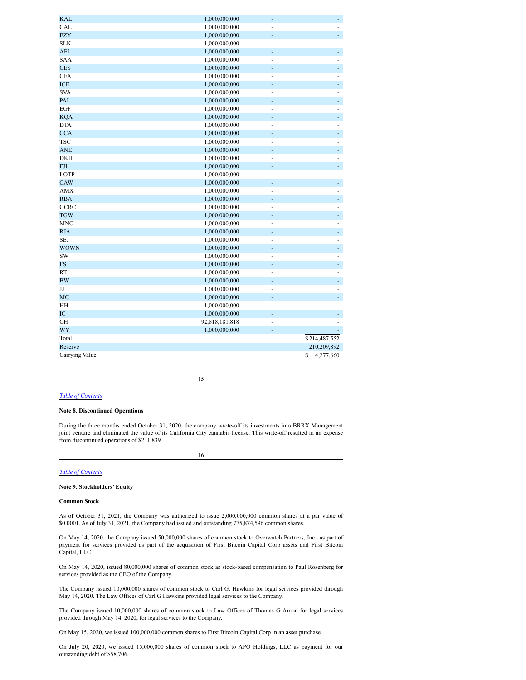| <b>KAL</b>     | 1,000,000,000  | ٠                            | $\overline{\phantom{a}}$     |
|----------------|----------------|------------------------------|------------------------------|
| CAL            | 1,000,000,000  | $\blacksquare$               |                              |
| <b>EZY</b>     | 1,000,000,000  | ٠                            | ÷                            |
| <b>SLK</b>     | 1,000,000,000  | Ξ                            | $\qquad \qquad \blacksquare$ |
| <b>AFL</b>     | 1,000,000,000  | ٠                            | ÷                            |
| <b>SAA</b>     | 1,000,000,000  | $\qquad \qquad \blacksquare$ | ÷,                           |
| <b>CES</b>     | 1,000,000,000  | ٠                            | ÷,                           |
| <b>GFA</b>     | 1,000,000,000  | -                            |                              |
| <b>ICE</b>     | 1,000,000,000  | ٠                            | ÷                            |
| <b>SVA</b>     | 1,000,000,000  | $\overline{a}$               |                              |
| PAL            | 1,000,000,000  | $\overline{\phantom{a}}$     | ä,                           |
| EGF            | 1,000,000,000  | -                            | $\frac{1}{2}$                |
| <b>KQA</b>     | 1,000,000,000  | $\overline{\phantom{a}}$     | Ξ                            |
| <b>DTA</b>     | 1,000,000,000  | ٠                            | ÷,                           |
| <b>CCA</b>     | 1,000,000,000  | Ξ                            | Ξ                            |
| <b>TSC</b>     | 1,000,000,000  | $\overline{\phantom{a}}$     | -                            |
| <b>ANE</b>     | 1,000,000,000  | ٠                            | ÷,                           |
| <b>DKH</b>     | 1,000,000,000  | -                            |                              |
| <b>FJI</b>     | 1,000,000,000  | ٠                            | ä,                           |
| LOTP           | 1,000,000,000  | $\overline{\phantom{a}}$     | $\overline{\phantom{m}}$     |
| CAW            | 1,000,000,000  | ٠                            | ä,                           |
| <b>AMX</b>     | 1,000,000,000  | ٠                            | $\overline{\phantom{m}}$     |
| <b>RBA</b>     | 1,000,000,000  | $\overline{\phantom{a}}$     | ۳                            |
| <b>GCRC</b>    | 1,000,000,000  | ٠                            | ÷,                           |
| <b>TGW</b>     | 1,000,000,000  | ٠                            | ÷                            |
| <b>MNO</b>     | 1,000,000,000  | ٠                            | ٠                            |
| <b>RJA</b>     | 1,000,000,000  | ٠                            | ÷                            |
| <b>SEJ</b>     | 1,000,000,000  | Ξ                            |                              |
| <b>WOWN</b>    | 1,000,000,000  | ٠                            | ä,                           |
| <b>SW</b>      | 1,000,000,000  | ÷,                           | ٠                            |
| <b>FS</b>      | 1,000,000,000  | Ξ                            | Ξ                            |
| <b>RT</b>      | 1,000,000,000  | ٠                            | ٠                            |
| <b>BW</b>      | 1,000,000,000  |                              | Ξ                            |
| IJ             | 1,000,000,000  |                              |                              |
| MC             | 1,000,000,000  | Ξ                            | ٠                            |
| HH             | 1,000,000,000  | ٠                            |                              |
| IC             | 1,000,000,000  | Ξ                            | ÷,                           |
| <b>CH</b>      | 92,818,181,818 | ÷,                           |                              |
| WY             | 1,000,000,000  | Ξ                            |                              |
| Total          |                |                              | \$214,487,552                |
| Reserve        |                |                              | 210,209,892                  |
| Carrying Value |                |                              | \$<br>4,277,660              |
|                |                |                              |                              |

15

#### *Table of [Contents](#page-1-0)*

#### **Note 8. Discontinued Operations**

During the three months ended October 31, 2020, the company wrote-off its investments into BRRX Management joint venture and eliminated the value of its California City cannabis license. This write-off resulted in an expense from discontinued operations of \$211,839

16

## *Table of [Contents](#page-1-0)*

#### **Note 9. Stockholders' Equity**

#### **Common Stock**

As of October 31, 2021, the Company was authorized to issue 2,000,000,000 common shares at a par value of \$0.0001. As of July 31, 2021, the Company had issued and outstanding 775,874,596 common shares.

On May 14, 2020, the Company issued 50,000,000 shares of common stock to Overwatch Partners, Inc., as part of payment for services provided as part of the acquisition of First Bitcoin Capital Corp assets and First Bitcoin Capital, LLC.

On May 14, 2020, issued 80,000,000 shares of common stock as stock-based compensation to Paul Rosenberg for services provided as the CEO of the Company.

The Company issued 10,000,000 shares of common stock to Carl G. Hawkins for legal services provided through May 14, 2020. The Law Offices of Carl G Hawkins provided legal services to the Company.

The Company issued 10,000,000 shares of common stock to Law Offices of Thomas G Amon for legal services provided through May 14, 2020, for legal services to the Company.

On May 15, 2020, we issued 100,000,000 common shares to First Bitcoin Capital Corp in an asset purchase.

On July 20, 2020, we issued 15,000,000 shares of common stock to APO Holdings, LLC as payment for our outstanding debt of \$58,706.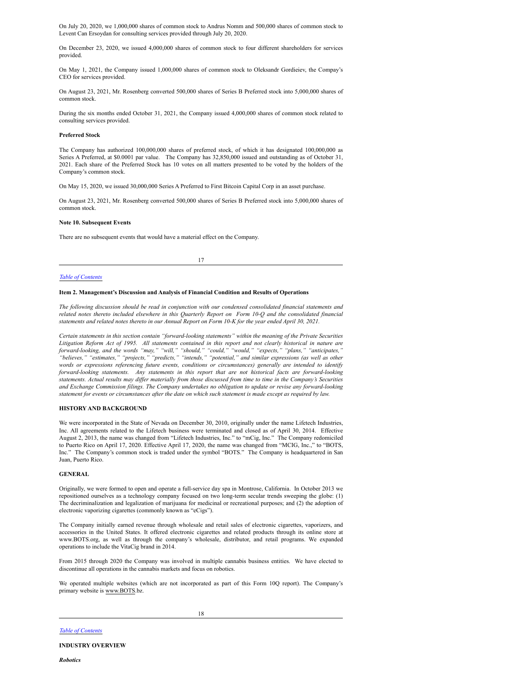On July 20, 2020, we 1,000,000 shares of common stock to Andrus Nomm and 500,000 shares of common stock to Levent Can Ersoydan for consulting services provided through July 20, 2020.

On December 23, 2020, we issued 4,000,000 shares of common stock to four different shareholders for services provided.

On May 1, 2021, the Company issued 1,000,000 shares of common stock to Oleksandr Gordieiev, the Compay's CEO for services provided.

On August 23, 2021, Mr. Rosenberg converted 500,000 shares of Series B Preferred stock into 5,000,000 shares of common stock.

During the six months ended October 31, 2021, the Company issued 4,000,000 shares of common stock related to consulting services provided.

#### **Preferred Stock**

The Company has authorized 100,000,000 shares of preferred stock, of which it has designated 100,000,000 as Series A Preferred, at \$0.0001 par value. The Company has 32,850,000 issued and outstanding as of October 31, 2021. Each share of the Preferred Stock has 10 votes on all matters presented to be voted by the holders of the Company's common stock.

On May 15, 2020, we issued 30,000,000 Series A Preferred to First Bitcoin Capital Corp in an asset purchase.

On August 23, 2021, Mr. Rosenberg converted 500,000 shares of Series B Preferred stock into 5,000,000 shares of common stock.

#### **Note 10. Subsequent Events**

There are no subsequent events that would have a material effect on the Company.

17

#### <span id="page-10-0"></span>*Table of [Contents](#page-1-0)*

#### **Item 2. Management's Discussion and Analysis of Financial Condition and Results of Operations**

*The following discussion should be read in conjunction with our condensed consolidated financial statements and related notes thereto included elsewhere in this Quarterly Report on Form 10-Q and the consolidated financial* statements and related notes thereto in our Annual Report on Form 10-K for the year ended April 30, 2021.

*Certain statements in this section contain "forward-looking statements" within the meaning of the Private Securities* Litigation Reform Act of 1995. All statements contained in this report and not clearly historical in nature are *forward-looking, and the words "may," "will," "should," "could," "would," "expects," "plans," "anticipates," "believes," "estimates," "projects," "predicts," "intends," "potential," and similar expressions (as well as other words or expressions referencing future events, conditions or circumstances) generally are intended to identify forward-looking statements. Any statements in this report that are not historical facts are forward-looking* statements. Actual results may differ materially from those discussed from time to time in the Company's Securities *and Exchange Commission filings. The Company undertakes no obligation to update or revise any forward-looking* statement for events or circumstances after the date on which such statement is made except as required by law.

#### **HISTORY AND BACKGROUND**

We were incorporated in the State of Nevada on December 30, 2010, originally under the name Lifetech Industries, Inc. All agreements related to the Lifetech business were terminated and closed as of April 30, 2014. Effective August 2, 2013, the name was changed from "Lifetech Industries, Inc." to "mCig, Inc." The Company redomiciled to Puerto Rico on April 17, 2020. Effective April 17, 2020, the name was changed from "MCIG, Inc.," to "BOTS, Inc." The Company's common stock is traded under the symbol "BOTS." The Company is headquartered in San Juan, Puerto Rico.

#### **GENERAL**

Originally, we were formed to open and operate a full-service day spa in Montrose, California. In October 2013 we repositioned ourselves as a technology company focused on two long-term secular trends sweeping the globe: (1) The decriminalization and legalization of marijuana for medicinal or recreational purposes; and (2) the adoption of electronic vaporizing cigarettes (commonly known as "eCigs").

The Company initially earned revenue through wholesale and retail sales of electronic cigarettes, vaporizers, and accessories in the United States. It offered electronic cigarettes and related products through its online store at www.BOTS.org, as well as through the company's wholesale, distributor, and retail programs. We expanded operations to include the VitaCig brand in 2014.

From 2015 through 2020 the Company was involved in multiple cannabis business entities. We have elected to discontinue all operations in the cannabis markets and focus on robotics.

We operated multiple websites (which are not incorporated as part of this Form 10Q report). The Company's primary website is www.BOTS.bz.

18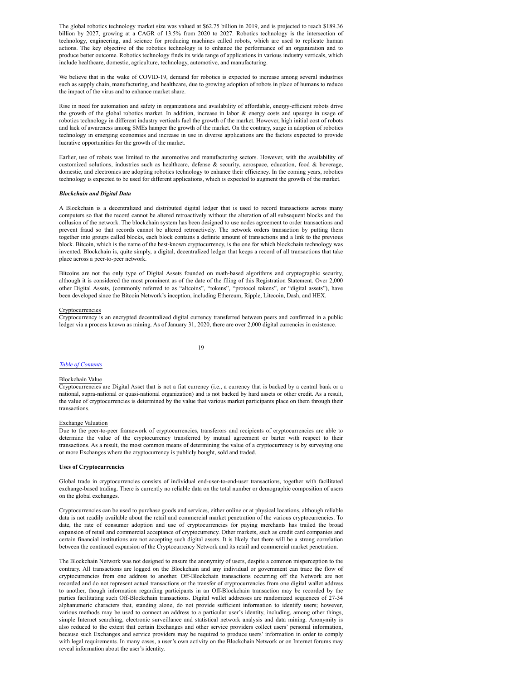The global robotics technology market size was valued at \$62.75 billion in 2019, and is projected to reach \$189.36 billion by 2027, growing at a CAGR of 13.5% from 2020 to 2027. Robotics technology is the intersection of technology, engineering, and science for producing machines called robots, which are used to replicate human actions. The key objective of the robotics technology is to enhance the performance of an organization and to produce better outcome. Robotics technology finds its wide range of applications in various industry verticals, which include healthcare, domestic, agriculture, technology, automotive, and manufacturing.

We believe that in the wake of COVID-19, demand for robotics is expected to increase among several industries such as supply chain, manufacturing, and healthcare, due to growing adoption of robots in place of humans to reduce the impact of the virus and to enhance market share.

Rise in need for automation and safety in organizations and availability of affordable, energy-efficient robots drive the growth of the global robotics market. In addition, increase in labor & energy costs and upsurge in usage of robotics technology in different industry verticals fuel the growth of the market. However, high initial cost of robots and lack of awareness among SMEs hamper the growth of the market. On the contrary, surge in adoption of robotics technology in emerging economies and increase in use in diverse applications are the factors expected to provide lucrative opportunities for the growth of the market.

Earlier, use of robots was limited to the automotive and manufacturing sectors. However, with the availability of customized solutions, industries such as healthcare, defense & security, aerospace, education, food & beverage, domestic, and electronics are adopting robotics technology to enhance their efficiency. In the coming years, robotics technology is expected to be used for different applications, which is expected to augment the growth of the market.

#### *Blockchain and Digital Data*

A Blockchain is a decentralized and distributed digital ledger that is used to record transactions across many computers so that the record cannot be altered retroactively without the alteration of all subsequent blocks and the collusion of the network. The blockchain system has been designed to use nodes agreement to order transactions and prevent fraud so that records cannot be altered retroactively. The network orders transaction by putting them together into groups called blocks, each block contains a definite amount of transactions and a link to the previous block. Bitcoin, which is the name of the best-known cryptocurrency, is the one for which blockchain technology was invented. Blockchain is, quite simply, a digital, decentralized ledger that keeps a record of all transactions that take place across a peer-to-peer network.

Bitcoins are not the only type of Digital Assets founded on math-based algorithms and cryptographic security, although it is considered the most prominent as of the date of the filing of this Registration Statement. Over 2,000 other Digital Assets, (commonly referred to as "altcoins", "tokens", "protocol tokens", or "digital assets"), have been developed since the Bitcoin Network's inception, including Ethereum, Ripple, Litecoin, Dash, and HEX.

#### Cryptocurrencies

Cryptocurrency is an encrypted decentralized digital currency transferred between peers and confirmed in a public ledger via a process known as mining. As of January 31, 2020, there are over 2,000 digital currencies in existence.

19

#### *Table of [Contents](#page-1-0)*

#### Blockchain Value

Cryptocurrencies are Digital Asset that is not a fiat currency (i.e., a currency that is backed by a central bank or a national, supra-national or quasi-national organization) and is not backed by hard assets or other credit. As a result, the value of cryptocurrencies is determined by the value that various market participants place on them through their transactions.

#### Exchange Valuation

Due to the peer-to-peer framework of cryptocurrencies, transferors and recipients of cryptocurrencies are able to determine the value of the cryptocurrency transferred by mutual agreement or barter with respect to their transactions. As a result, the most common means of determining the value of a cryptocurrency is by surveying one or more Exchanges where the cryptocurrency is publicly bought, sold and traded.

#### **Uses of Cryptocurrencies**

Global trade in cryptocurrencies consists of individual end-user-to-end-user transactions, together with facilitated exchange-based trading. There is currently no reliable data on the total number or demographic composition of users on the global exchanges.

Cryptocurrencies can be used to purchase goods and services, either online or at physical locations, although reliable data is not readily available about the retail and commercial market penetration of the various cryptocurrencies. To date, the rate of consumer adoption and use of cryptocurrencies for paying merchants has trailed the broad expansion of retail and commercial acceptance of cryptocurrency. Other markets, such as credit card companies and certain financial institutions are not accepting such digital assets. It is likely that there will be a strong correlation between the continued expansion of the Cryptocurrency Network and its retail and commercial market penetration.

The Blockchain Network was not designed to ensure the anonymity of users, despite a common misperception to the contrary. All transactions are logged on the Blockchain and any individual or government can trace the flow of cryptocurrencies from one address to another. Off-Blockchain transactions occurring off the Network are not recorded and do not represent actual transactions or the transfer of cryptocurrencies from one digital wallet address to another, though information regarding participants in an Off-Blockchain transaction may be recorded by the parties facilitating such Off-Blockchain transactions. Digital wallet addresses are randomized sequences of 27-34 alphanumeric characters that, standing alone, do not provide sufficient information to identify users; however, various methods may be used to connect an address to a particular user's identity, including, among other things, simple Internet searching, electronic surveillance and statistical network analysis and data mining. Anonymity is also reduced to the extent that certain Exchanges and other service providers collect users' personal information, because such Exchanges and service providers may be required to produce users' information in order to comply with legal requirements. In many cases, a user's own activity on the Blockchain Network or on Internet forums may reveal information about the user's identity.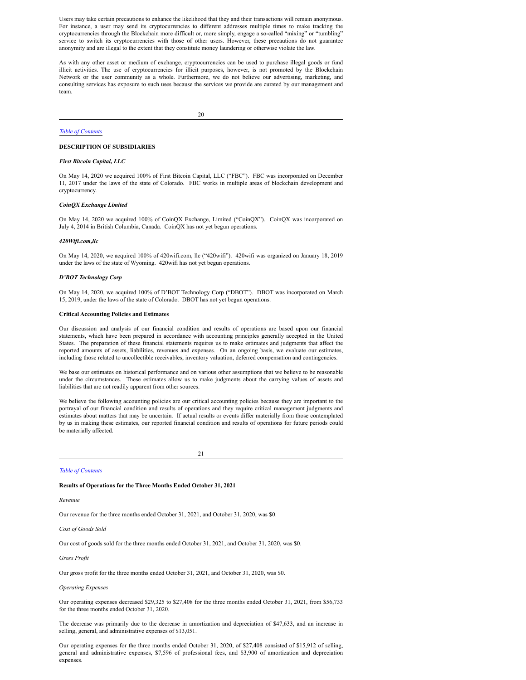Users may take certain precautions to enhance the likelihood that they and their transactions will remain anonymous. For instance, a user may send its cryptocurrencies to different addresses multiple times to make tracking the cryptocurrencies through the Blockchain more difficult or, more simply, engage a so-called "mixing" or "tumbling" service to switch its cryptocurrencies with those of other users. However, these precautions do not guarantee anonymity and are illegal to the extent that they constitute money laundering or otherwise violate the law.

As with any other asset or medium of exchange, cryptocurrencies can be used to purchase illegal goods or fund illicit activities. The use of cryptocurrencies for illicit purposes, however, is not promoted by the Blockchain Network or the user community as a whole. Furthermore, we do not believe our advertising, marketing, and consulting services has exposure to such uses because the services we provide are curated by our management and team.

20

#### *Table of [Contents](#page-1-0)*

#### **DESCRIPTION OF SUBSIDIARIES**

#### *First Bitcoin Capital, LLC*

On May 14, 2020 we acquired 100% of First Bitcoin Capital, LLC ("FBC"). FBC was incorporated on December 11, 2017 under the laws of the state of Colorado. FBC works in multiple areas of blockchain development and cryptocurrency.

#### *CoinQX Exchange Limited*

On May 14, 2020 we acquired 100% of CoinQX Exchange, Limited ("CoinQX"). CoinQX was incorporated on July 4, 2014 in British Columbia, Canada. CoinQX has not yet begun operations.

#### *420Wifi.com,llc*

On May 14, 2020, we acquired 100% of 420wifi.com, llc ("420wifi"). 420wifi was organized on January 18, 2019 under the laws of the state of Wyoming. 420wifi has not yet begun operations.

#### *D'BOT Technology Corp*

On May 14, 2020, we acquired 100% of D'BOT Technology Corp ("DBOT"). DBOT was incorporated on March 15, 2019, under the laws of the state of Colorado. DBOT has not yet begun operations.

#### **Critical Accounting Policies and Estimates**

Our discussion and analysis of our financial condition and results of operations are based upon our financial statements, which have been prepared in accordance with accounting principles generally accepted in the United States. The preparation of these financial statements requires us to make estimates and judgments that affect the reported amounts of assets, liabilities, revenues and expenses. On an ongoing basis, we evaluate our estimates, including those related to uncollectible receivables, inventory valuation, deferred compensation and contingencies.

We base our estimates on historical performance and on various other assumptions that we believe to be reasonable under the circumstances. These estimates allow us to make judgments about the carrying values of assets and liabilities that are not readily apparent from other sources.

We believe the following accounting policies are our critical accounting policies because they are important to the portrayal of our financial condition and results of operations and they require critical management judgments and estimates about matters that may be uncertain. If actual results or events differ materially from those contemplated by us in making these estimates, our reported financial condition and results of operations for future periods could be materially affected.

21

#### *Table of [Contents](#page-1-0)*

#### **Results of Operations for the Three Months Ended October 31, 2021**

*Revenue*

Our revenue for the three months ended October 31, 2021, and October 31, 2020, was \$0.

*Cost of Goods Sold*

Our cost of goods sold for the three months ended October 31, 2021, and October 31, 2020, was \$0.

### *Gross Profit*

Our gross profit for the three months ended October 31, 2021, and October 31, 2020, was \$0.

### *Operating Expenses*

Our operating expenses decreased \$29,325 to \$27,408 for the three months ended October 31, 2021, from \$56,733 for the three months ended October 31, 2020.

The decrease was primarily due to the decrease in amortization and depreciation of \$47,633, and an increase in selling, general, and administrative expenses of \$13,051.

Our operating expenses for the three months ended October 31, 2020, of \$27,408 consisted of \$15,912 of selling, general and administrative expenses, \$7,596 of professional fees, and \$3,900 of amortization and depreciation expenses.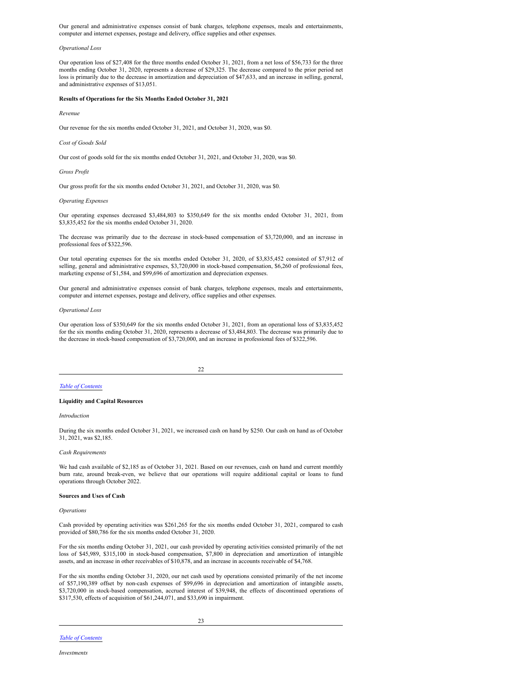Our general and administrative expenses consist of bank charges, telephone expenses, meals and entertainments, computer and internet expenses, postage and delivery, office supplies and other expenses.

#### *Operational Loss*

Our operation loss of \$27,408 for the three months ended October 31, 2021, from a net loss of \$56,733 for the three months ending October 31, 2020, represents a decrease of \$29,325. The decrease compared to the prior period net loss is primarily due to the decrease in amortization and depreciation of \$47,633, and an increase in selling, general, and administrative expenses of \$13,051.

#### **Results of Operations for the Six Months Ended October 31, 2021**

*Revenue*

Our revenue for the six months ended October 31, 2021, and October 31, 2020, was \$0.

#### *Cost of Goods Sold*

Our cost of goods sold for the six months ended October 31, 2021, and October 31, 2020, was \$0.

#### *Gross Profit*

Our gross profit for the six months ended October 31, 2021, and October 31, 2020, was \$0.

#### *Operating Expenses*

Our operating expenses decreased \$3,484,803 to \$350,649 for the six months ended October 31, 2021, from \$3,835,452 for the six months ended October 31, 2020.

The decrease was primarily due to the decrease in stock-based compensation of \$3,720,000, and an increase in professional fees of \$322,596.

Our total operating expenses for the six months ended October 31, 2020, of \$3,835,452 consisted of \$7,912 of selling, general and administrative expenses, \$3,720,000 in stock-based compensation, \$6,260 of professional fees, marketing expense of \$1,584, and \$99,696 of amortization and depreciation expenses.

Our general and administrative expenses consist of bank charges, telephone expenses, meals and entertainments, computer and internet expenses, postage and delivery, office supplies and other expenses.

#### *Operational Loss*

Our operation loss of \$350,649 for the six months ended October 31, 2021, from an operational loss of \$3,835,452 for the six months ending October 31, 2020, represents a decrease of \$3,484,803. The decrease was primarily due to the decrease in stock-based compensation of \$3,720,000, and an increase in professional fees of \$322,596.

## 22

#### *Table of [Contents](#page-1-0)*

#### **Liquidity and Capital Resources**

#### *Introduction*

During the six months ended October 31, 2021, we increased cash on hand by \$250. Our cash on hand as of October 31, 2021, was \$2,185.

#### *Cash Requirements*

We had cash available of \$2,185 as of October 31, 2021. Based on our revenues, cash on hand and current monthly burn rate, around break-even, we believe that our operations will require additional capital or loans to fund operations through October 2022.

#### **Sources and Uses of Cash**

*Operations*

Cash provided by operating activities was \$261,265 for the six months ended October 31, 2021, compared to cash provided of \$80,786 for the six months ended October 31, 2020.

For the six months ending October 31, 2021, our cash provided by operating activities consisted primarily of the net loss of \$45,989, \$315,100 in stock-based compensation, \$7,800 in depreciation and amortization of intangible assets, and an increase in other receivables of \$10,878, and an increase in accounts receivable of \$4,768.

For the six months ending October 31, 2020, our net cash used by operations consisted primarily of the net income of \$57,190,389 offset by non-cash expenses of \$99,696 in depreciation and amortization of intangible assets, \$3,720,000 in stock-based compensation, accrued interest of \$39,948, the effects of discontinued operations of \$317,530, effects of acquisition of \$61,244,071, and \$33,690 in impairment.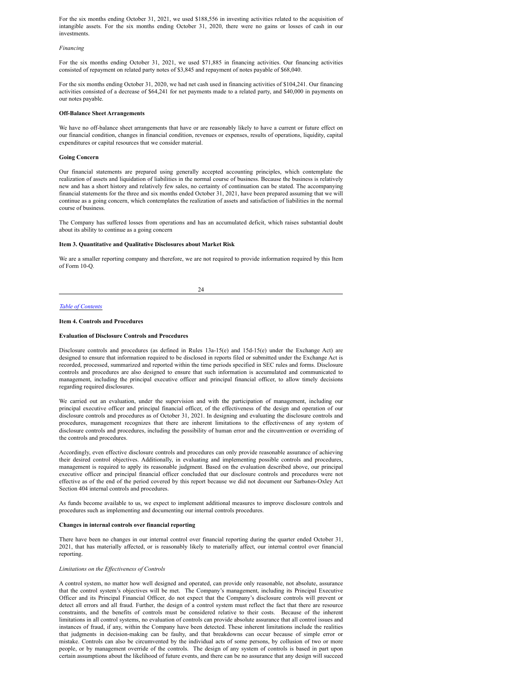For the six months ending October 31, 2021, we used \$188,556 in investing activities related to the acquisition of intangible assets. For the six months ending October 31, 2020, there were no gains or losses of cash in our investments.

#### *Financing*

For the six months ending October 31, 2021, we used \$71,885 in financing activities. Our financing activities consisted of repayment on related party notes of \$3,845 and repayment of notes payable of \$68,040.

For the six months ending October 31, 2020, we had net cash used in financing activities of \$104,241. Our financing activities consisted of a decrease of \$64,241 for net payments made to a related party, and \$40,000 in payments on our notes payable.

#### **Off-Balance Sheet Arrangements**

We have no off-balance sheet arrangements that have or are reasonably likely to have a current or future effect on our financial condition, changes in financial condition, revenues or expenses, results of operations, liquidity, capital expenditures or capital resources that we consider material.

#### **Going Concern**

Our financial statements are prepared using generally accepted accounting principles, which contemplate the realization of assets and liquidation of liabilities in the normal course of business. Because the business is relatively new and has a short history and relatively few sales, no certainty of continuation can be stated. The accompanying financial statements for the three and six months ended October 31, 2021, have been prepared assuming that we will continue as a going concern, which contemplates the realization of assets and satisfaction of liabilities in the normal course of business.

The Company has suffered losses from operations and has an accumulated deficit, which raises substantial doubt about its ability to continue as a going concern

#### <span id="page-14-0"></span>**Item 3. Quantitative and Qualitative Disclosures about Market Risk**

We are a smaller reporting company and therefore, we are not required to provide information required by this Item of Form 10-Q.

24

#### *Table of [Contents](#page-1-0)*

#### <span id="page-14-1"></span>**Item 4. Controls and Procedures**

#### **Evaluation of Disclosure Controls and Procedures**

Disclosure controls and procedures (as defined in Rules 13a-15(e) and 15d-15(e) under the Exchange Act) are designed to ensure that information required to be disclosed in reports filed or submitted under the Exchange Act is recorded, processed, summarized and reported within the time periods specified in SEC rules and forms. Disclosure controls and procedures are also designed to ensure that such information is accumulated and communicated to management, including the principal executive officer and principal financial officer, to allow timely decisions regarding required disclosures.

We carried out an evaluation, under the supervision and with the participation of management, including our principal executive officer and principal financial officer, of the effectiveness of the design and operation of our disclosure controls and procedures as of October 31, 2021. In designing and evaluating the disclosure controls and procedures, management recognizes that there are inherent limitations to the effectiveness of any system of disclosure controls and procedures, including the possibility of human error and the circumvention or overriding of the controls and procedures.

Accordingly, even effective disclosure controls and procedures can only provide reasonable assurance of achieving their desired control objectives. Additionally, in evaluating and implementing possible controls and procedures, management is required to apply its reasonable judgment. Based on the evaluation described above, our principal executive officer and principal financial officer concluded that our disclosure controls and procedures were not effective as of the end of the period covered by this report because we did not document our Sarbanes-Oxley Act Section 404 internal controls and procedures.

As funds become available to us, we expect to implement additional measures to improve disclosure controls and procedures such as implementing and documenting our internal controls procedures.

#### **Changes in internal controls over financial reporting**

There have been no changes in our internal control over financial reporting during the quarter ended October 31, 2021, that has materially affected, or is reasonably likely to materially affect, our internal control over financial reporting.

#### *Limitations on the Ef ectiveness of Controls*

A control system, no matter how well designed and operated, can provide only reasonable, not absolute, assurance that the control system's objectives will be met. The Company's management, including its Principal Executive Officer and its Principal Financial Officer, do not expect that the Company's disclosure controls will prevent or detect all errors and all fraud. Further, the design of a control system must reflect the fact that there are resource constraints, and the benefits of controls must be considered relative to their costs. Because of the inherent limitations in all control systems, no evaluation of controls can provide absolute assurance that all control issues and instances of fraud, if any, within the Company have been detected. These inherent limitations include the realities that judgments in decision-making can be faulty, and that breakdowns can occur because of simple error or mistake. Controls can also be circumvented by the individual acts of some persons, by collusion of two or more people, or by management override of the controls. The design of any system of controls is based in part upon certain assumptions about the likelihood of future events, and there can be no assurance that any design will succeed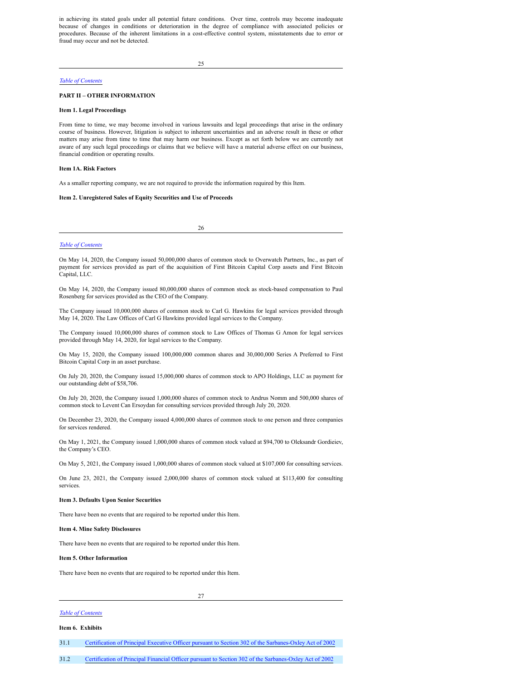in achieving its stated goals under all potential future conditions. Over time, controls may become inadequate because of changes in conditions or deterioration in the degree of compliance with associated policies or procedures. Because of the inherent limitations in a cost-effective control system, misstatements due to error or fraud may occur and not be detected.

25

#### *Table of [Contents](#page-1-0)*

#### **PART II – OTHER INFORMATION**

#### <span id="page-15-0"></span>**Item 1. Legal Proceedings**

From time to time, we may become involved in various lawsuits and legal proceedings that arise in the ordinary course of business. However, litigation is subject to inherent uncertainties and an adverse result in these or other matters may arise from time to time that may harm our business. Except as set forth below we are currently not aware of any such legal proceedings or claims that we believe will have a material adverse effect on our business, financial condition or operating results.

#### <span id="page-15-1"></span>**Item 1A. Risk Factors**

As a smaller reporting company, we are not required to provide the information required by this Item.

#### <span id="page-15-2"></span>**Item 2. Unregistered Sales of Equity Securities and Use of Proceeds**

26

### *Table of [Contents](#page-1-0)*

On May 14, 2020, the Company issued 50,000,000 shares of common stock to Overwatch Partners, Inc., as part of payment for services provided as part of the acquisition of First Bitcoin Capital Corp assets and First Bitcoin Capital, LLC.

On May 14, 2020, the Company issued 80,000,000 shares of common stock as stock-based compensation to Paul Rosenberg for services provided as the CEO of the Company.

The Company issued 10,000,000 shares of common stock to Carl G. Hawkins for legal services provided through May 14, 2020. The Law Offices of Carl G Hawkins provided legal services to the Company.

The Company issued 10,000,000 shares of common stock to Law Offices of Thomas G Amon for legal services provided through May 14, 2020, for legal services to the Company.

On May 15, 2020, the Company issued 100,000,000 common shares and 30,000,000 Series A Preferred to First Bitcoin Capital Corp in an asset purchase.

On July 20, 2020, the Company issued 15,000,000 shares of common stock to APO Holdings, LLC as payment for our outstanding debt of \$58,706.

On July 20, 2020, the Company issued 1,000,000 shares of common stock to Andrus Nomm and 500,000 shares of common stock to Levent Can Ersoydan for consulting services provided through July 20, 2020.

On December 23, 2020, the Company issued 4,000,000 shares of common stock to one person and three companies for services rendered.

On May 1, 2021, the Company issued 1,000,000 shares of common stock valued at \$94,700 to Oleksandr Gordieiev, the Company's CEO.

On May 5, 2021, the Company issued 1,000,000 shares of common stock valued at \$107,000 for consulting services.

On June 23, 2021, the Company issued 2,000,000 shares of common stock valued at \$113,400 for consulting services.

#### <span id="page-15-3"></span>**Item 3. Defaults Upon Senior Securities**

There have been no events that are required to be reported under this Item.

#### <span id="page-15-4"></span>**Item 4. Mine Safety Disclosures**

There have been no events that are required to be reported under this Item.

#### <span id="page-15-5"></span>**Item 5. Other Information**

There have been no events that are required to be reported under this Item.

27

## *Table of [Contents](#page-1-0)*

#### <span id="page-15-6"></span>**Item 6. Exhibits**

31.1 Certification of Principal Executive Officer pursuant to Section 302 of the [Sarbanes-Oxley](#page-17-0) Act of 2002

31.2 Certification of Principal Financial Officer pursuant to Section 302 of the [Sarbanes-Oxley](#page-18-0) Act of 2002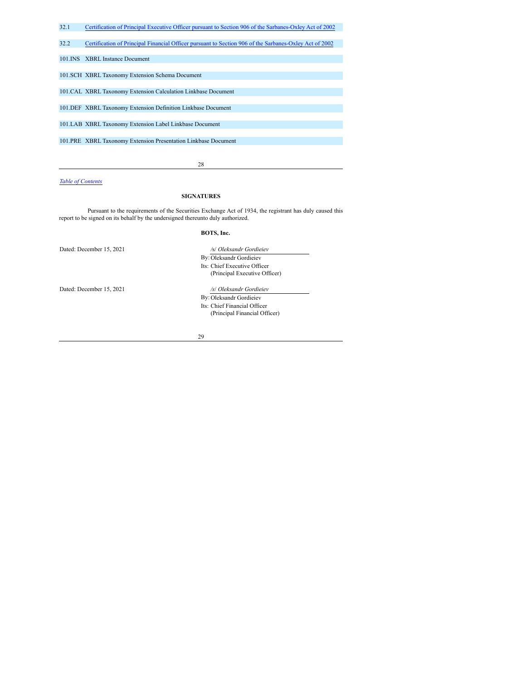| 32.1 | Certification of Principal Executive Officer pursuant to Section 906 of the Sarbanes-Oxley Act of 2002 |
|------|--------------------------------------------------------------------------------------------------------|
| 32.2 | Certification of Principal Financial Officer pursuant to Section 906 of the Sarbanes-Oxley Act of 2002 |
|      | 101.INS XBRL Instance Document                                                                         |
|      | 101.SCH XBRL Taxonomy Extension Schema Document                                                        |
|      | 101.CAL XBRL Taxonomy Extension Calculation Linkbase Document                                          |
|      | 101. DEF XBRL Taxonomy Extension Definition Linkbase Document                                          |
|      | 101.LAB XBRL Taxonomy Extension Label Linkbase Document                                                |
|      | 101.PRE XBRL Taxonomy Extension Presentation Linkbase Document                                         |

## *Table of [Contents](#page-1-0)*

## **SIGNATURES**

28

Pursuant to the requirements of the Securities Exchange Act of 1934, the registrant has duly caused this report to be signed on its behalf by the undersigned thereunto duly authorized.

## **BOTS, Inc.**

Dated: December 15, 2021 */*s/ *Oleksandr Gordieiev*

| /s/ Oleksanar Gordieiev       |
|-------------------------------|
| By: Oleksandr Gordieiev       |
| Its: Chief Executive Officer  |
| (Principal Executive Officer) |
|                               |

Dated: December 15, 2021 */s*/ *Oleksandr Gordieiev*

By: Oleksandr Gordieiev

Its: Chief Financial Officer (Principal Financial Officer)

29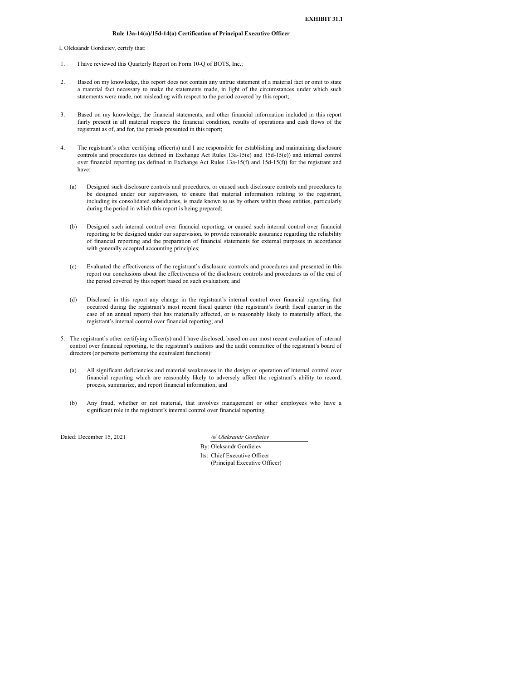#### **Rule 13a-14(a)/15d-14(a) Certification of Principal Executive Officer**

<span id="page-17-0"></span>I, Oleksandr Gordieiev, certify that:

- 1. I have reviewed this Quarterly Report on Form 10-Q of BOTS, Inc.;
- 2. Based on my knowledge, this report does not contain any untrue statement of a material fact or omit to state a material fact necessary to make the statements made, in light of the circumstances under which such statements were made, not misleading with respect to the period covered by this report;
- 3. Based on my knowledge, the financial statements, and other financial information included in this report fairly present in all material respects the financial condition, results of operations and cash flows of the registrant as of, and for, the periods presented in this report;
- 4. The registrant's other certifying officer(s) and I are responsible for establishing and maintaining disclosure controls and procedures (as defined in Exchange Act Rules 13a-15(e) and 15d-15(e)) and internal control over financial reporting (as defined in Exchange Act Rules 13a-15(f) and 15d-15(f)) for the registrant and have:
	- (a) Designed such disclosure controls and procedures, or caused such disclosure controls and procedures to be designed under our supervision, to ensure that material information relating to the registrant, including its consolidated subsidiaries, is made known to us by others within those entities, particularly during the period in which this report is being prepared;
	- (b) Designed such internal control over financial reporting, or caused such internal control over financial reporting to be designed under our supervision, to provide reasonable assurance regarding the reliability of financial reporting and the preparation of financial statements for external purposes in accordance with generally accepted accounting principles;
	- (c) Evaluated the effectiveness of the registrant's disclosure controls and procedures and presented in this report our conclusions about the effectiveness of the disclosure controls and procedures as of the end of the period covered by this report based on such evaluation; and
	- (d) Disclosed in this report any change in the registrant's internal control over financial reporting that occurred during the registrant's most recent fiscal quarter (the registrant's fourth fiscal quarter in the case of an annual report) that has materially affected, or is reasonably likely to materially affect, the registrant's internal control over financial reporting; and
- 5. The registrant's other certifying officer(s) and I have disclosed, based on our most recent evaluation of internal control over financial reporting, to the registrant's auditors and the audit committee of the registrant's board of directors (or persons performing the equivalent functions):
	- (a) All significant deficiencies and material weaknesses in the design or operation of internal control over financial reporting which are reasonably likely to adversely affect the registrant's ability to record, process, summarize, and report financial information; and
	- (b) Any fraud, whether or not material, that involves management or other employees who have a significant role in the registrant's internal control over financial reporting.

Dated: December 15, 2021 */*s/ *Oleksandr Gordieiev*

By: Oleksandr Gordieiev

Its: Chief Executive Officer (Principal Executive Officer)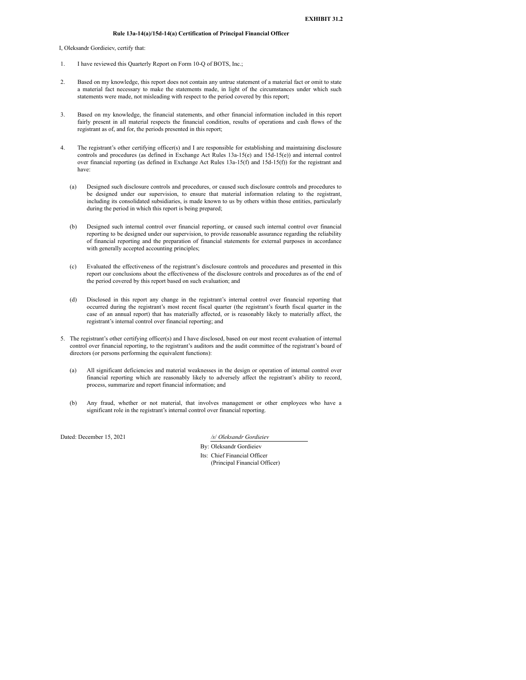#### **Rule 13a-14(a)/15d-14(a) Certification of Principal Financial Officer**

<span id="page-18-0"></span>I, Oleksandr Gordieiev, certify that:

- 1. I have reviewed this Quarterly Report on Form 10-Q of BOTS, Inc.;
- 2. Based on my knowledge, this report does not contain any untrue statement of a material fact or omit to state a material fact necessary to make the statements made, in light of the circumstances under which such statements were made, not misleading with respect to the period covered by this report;
- 3. Based on my knowledge, the financial statements, and other financial information included in this report fairly present in all material respects the financial condition, results of operations and cash flows of the registrant as of, and for, the periods presented in this report;
- 4. The registrant's other certifying officer(s) and I are responsible for establishing and maintaining disclosure controls and procedures (as defined in Exchange Act Rules 13a-15(e) and 15d-15(e)) and internal control over financial reporting (as defined in Exchange Act Rules 13a-15(f) and 15d-15(f)) for the registrant and have:
	- (a) Designed such disclosure controls and procedures, or caused such disclosure controls and procedures to be designed under our supervision, to ensure that material information relating to the registrant, including its consolidated subsidiaries, is made known to us by others within those entities, particularly during the period in which this report is being prepared;
	- (b) Designed such internal control over financial reporting, or caused such internal control over financial reporting to be designed under our supervision, to provide reasonable assurance regarding the reliability of financial reporting and the preparation of financial statements for external purposes in accordance with generally accepted accounting principles;
	- (c) Evaluated the effectiveness of the registrant's disclosure controls and procedures and presented in this report our conclusions about the effectiveness of the disclosure controls and procedures as of the end of the period covered by this report based on such evaluation; and
	- (d) Disclosed in this report any change in the registrant's internal control over financial reporting that occurred during the registrant's most recent fiscal quarter (the registrant's fourth fiscal quarter in the case of an annual report) that has materially affected, or is reasonably likely to materially affect, the registrant's internal control over financial reporting; and
- 5. The registrant's other certifying officer(s) and I have disclosed, based on our most recent evaluation of internal control over financial reporting, to the registrant's auditors and the audit committee of the registrant's board of directors (or persons performing the equivalent functions):
	- (a) All significant deficiencies and material weaknesses in the design or operation of internal control over financial reporting which are reasonably likely to adversely affect the registrant's ability to record, process, summarize and report financial information; and
	- (b) Any fraud, whether or not material, that involves management or other employees who have a significant role in the registrant's internal control over financial reporting.

Dated: December 15, 2021 */s*/ *Oleksandr Gordieiev*

By: Oleksandr Gordieiev

Its: Chief Financial Officer (Principal Financial Officer)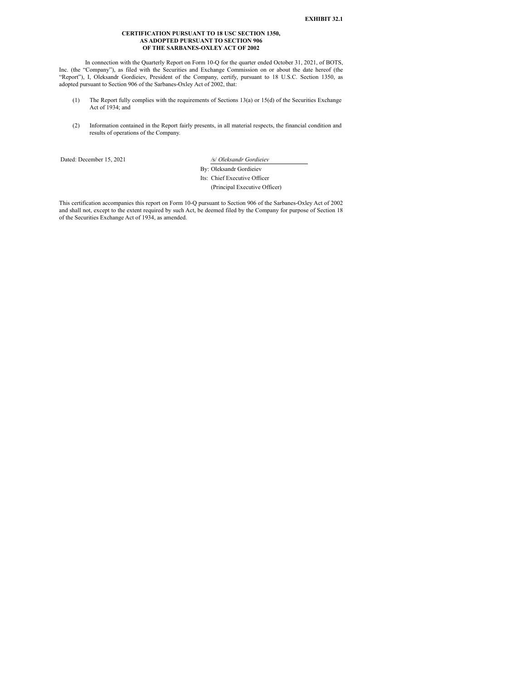#### **CERTIFICATION PURSUANT TO 18 USC SECTION 1350, AS ADOPTED PURSUANT TO SECTION 906 OF THE SARBANES-OXLEY ACT OF 2002**

<span id="page-19-0"></span>In connection with the Quarterly Report on Form 10-Q for the quarter ended October 31, 2021, of BOTS, Inc. (the "Company"), as filed with the Securities and Exchange Commission on or about the date hereof (the "Report"), I, Oleksandr Gordieiev, President of the Company, certify, pursuant to 18 U.S.C. Section 1350, as adopted pursuant to Section 906 of the Sarbanes-Oxley Act of 2002, that:

- (1) The Report fully complies with the requirements of Sections 13(a) or 15(d) of the Securities Exchange Act of 1934; and
- (2) Information contained in the Report fairly presents, in all material respects, the financial condition and results of operations of the Company.

Dated: December 15, 2021 */*s/ *Oleksandr Gordieiev*

By: Oleksandr Gordieiev

Its: Chief Executive Officer (Principal Executive Officer)

This certification accompanies this report on Form 10-Q pursuant to Section 906 of the Sarbanes-Oxley Act of 2002 and shall not, except to the extent required by such Act, be deemed filed by the Company for purpose of Section 18 of the Securities Exchange Act of 1934, as amended.